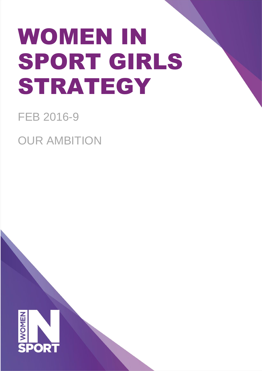# WOMEN IN SPORT GIRLS STRATEGY

# FEB 2016-9

OUR AMBITION

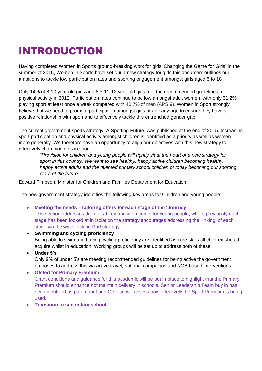# INTRODUCTION

Having completed Women in Sports ground-breaking work for girls 'Changing the Game for Girls' in the summer of 2015, Women in Sports have set our a new strategy for girls this document outlines our ambitions to tackle low participation rates and sporting engagement amongst girls aged 5 to 18.

Only 14% of 8-10 year old girls and 8% 11-12 year old girls met the recommended guidelines for physical activity in 2012. Participation rates continue to be low amongst adult women, with only 31.2% playing sport at least once a week compared with 40.7% of men (APS 9). Women in Sport strongly believe that we need to promote participation amongst girls at an early age to ensure they have a positive relationship with sport and to effectively tackle this entrenched gender gap.

The current government sports strategy, A Sporting Future, was published at the end of 2015. Increasing sport participation and physical activity amongst children is identified as a priority as well as women more generally. We therefore have an opportunity to align our objectives with this new strategy to effectively champion girls in sport:

*"Provision for children and young people will rightly sit at the heart of a new strategy for sport in this country. We want to see healthy, happy active children becoming healthy,*  happy active adults and the talented primary school children of today becoming our sporting *stars of the future."*

Edward Timpson, Minister for Children and Families Department for Education

The new government strategy identifies the following key areas for Children and young people:

- **Meeting the needs – tailoring offers for each stage of the 'Journey'** This section addresses drop off at key transition points for young people, where previously each stage has been looked at in isolation the strategy encourages addressing the 'linking' of each stage via the wider Taking Part strategy.
- **Swimming and cycling proficiency**  Being able to swim and having cycling proficiency are identified as core skills all children should acquire whilst in education. Working groups will be set up to address both of these.
- **Under 5's**

Only 9% of under 5's are meeting recommended guidelines for being active the government proposes to address this via active travel, national campaigns and NGB based interventions

 **Ofsted for Primary Premium**  Grant conditions and guidance for this academic will be put in place to highlight that the Primary Premium should enhance not maintain delivery in schools. Senior Leadership Team buy in has been identified as paramount and Ofstead will assess how effectively the Sport Premium is being used.

**Transition to secondary school**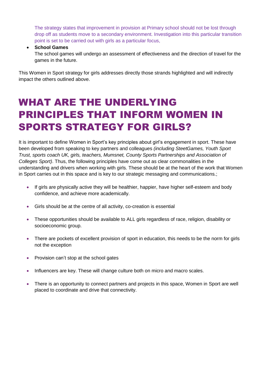The strategy states that improvement in provision at Primary school should not be lost through drop off as students move to a secondary environment. Investigation into this particular transition point is set to be carried out with girls as a particular focus,

#### **School Games**

The school games will undergo an assessment of effectiveness and the direction of travel for the games in the future.

This Women in Sport strategy for girls addresses directly those strands highlighted and will indirectly impact the others outlined above.

## WHAT ARE THE UNDERLYING PRINCIPLES THAT INFORM WOMEN IN SPORTS STRATEGY FOR GIRLS?

It is important to define Women in Sport's key principles about girl's engagement in sport. These have been developed from speaking to key partners and colleagues *(including SteetGames, Youth Sport Trust, sports coach UK, girls, teachers, Mumsnet, County Sports Partnerships and Association of Colleges Sport)*. Thus, the following principles have come out as clear commonalities in the understanding and drivers when working with girls. These should be at the heart of the work that Women in Sport carries out in this space and is key to our strategic messaging and communications.;

- If girls are physically active they will be healthier, happier, have higher self-esteem and body confidence, and achieve more academically.
- Girls should be at the centre of all activity, co-creation is essential
- These opportunities should be available to ALL girls regardless of race, religion, disability or socioeconomic group.
- There are pockets of excellent provision of sport in education, this needs to be the norm for girls not the exception
- Provision can't stop at the school gates
- Influencers are key. These will change culture both on micro and macro scales.
- There is an opportunity to connect partners and projects in this space, Women in Sport are well placed to coordinate and drive that connectivity.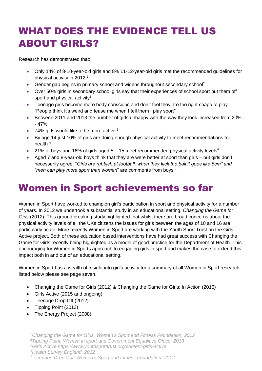# WHAT DOES THE EVIDENCE TELL US ABOUT GIRLS?

Research has demonstrated that:

- Only 14% of 8-10-year-old girls and 8% 11-12-year-old girls met the recommended guidelines for physical activity in 2012 <sup>1</sup>
- Gender gap begins in primary school and widens throughout secondary school<sup>2</sup>
- Over 50% girls in secondary school girls say that their experiences of school sport put them off sport and physical activity<sup>1</sup>
- Teenage girls become more body conscious and don't feel they are the right shape to play "People think it's weird and tease me when I tell them I play sport"
- Between 2011 and 2013 the number of girls unhappy with the way they look increased from 20%  $-47%$ <sup>3</sup>
- 74% girls would like to be more active <sup>3</sup>
- By age 14 just 10% of girls are doing enough physical activity to meet recommendations for health  $4$
- 21% of boys and 16% of girls aged  $5 15$  meet recommended physical activity levels<sup>4</sup>
- Aged 7 and 8-year-old boys think that they are were better at sport than girls but girls don't necessarily agree. "*Girls are rubbish at football. when they kick the ball it goes like 5cm" and "men can play more sport than women*" are comments from boys <sup>2</sup>

### Women in Sport achievements so far

Women in Sport have worked to champion girl's participation in sport and physical activity for a number of years. In 2012 we undertook a substantial study in an educational setting, *Changing the Game for Girls* (2012). This ground breaking study highlighted that whilst there are broad concerns about the physical activity levels of all the UKs citizens the issues for girls between the ages of 10 and 16 are particularly acute. More recently Women in Sport are working with the Youth Sport Trust on the Girls Active project. Both of these education based interventions have had great success with Changing the Game for Girls recently being highlighted as a model of good practice for the Department of Health. This encouraging for Women in Sports approach to engaging girls in sport and makes the case to extend this impact both in and out of an educational setting.

Women in Sport has a wealth of insight into girl's activity for a summary of all Women in Sport research listed below please see page seven.

- Changing the Game for Girls (2012) & Changing the Game for Girls: In Action (2015)
- Girls Active (2015 and ongoing)
- Teenage Drop Off (2012)
- Tipping Point (2013)
- The Energy Project (2008)

*5. <sup>5</sup> Teenage Drop Out, Women's Sport and Fitness Foundation, 2012*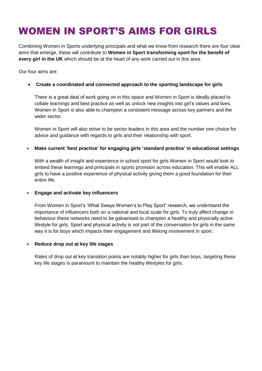# WOMEN IN SPORT'S AIMS FOR GIRLS

Combining Women in Sports underlying principals and what we know from research there are four clear aims that emerge, these will contribute to **Women in Sport transforming sport for the benefit of every girl in the UK** which should be at the heart of any work carried out in this area.

Our four aims are:

#### **Create a coordinated and connected approach to the sporting landscape for girls**

There is a great deal of work going on in this space and Women in Sport is ideally placed to collate learnings and best practice as well as unlock new insights into girl's values and lives. Women in Sport is also able to champion a consistent message across key partners and the wider sector.

Women in Sport will also strive to be sector leaders in this area and the number one choice for advice and guidance with regards to girls and their relationship with sport.

#### **Make current 'best practice' for engaging girls 'standard practice' in educational settings**

With a wealth of insight and experience in school sport for girls Women in Sport would look to embed these learnings and principals in sports provision across education. This will enable ALL girls to have a positive experience of physical activity giving them a good foundation for their entire life.

#### **Engage and activate key influencers**

From Women in Sport's 'What Sways Women's to Play Sport' research, we understand the importance of influencers both on a national and local scale for girls. To truly affect change in behaviour these networks need to be galvanised to champion a healthy and physically active lifestyle for girls. Sport and physical activity is not part of the conversation for girls in the same way it is for boys which impacts their engagement and lifelong involvement in sport.

#### **Reduce drop out at key life stages**

Rates of drop out at key transition points are notably higher for girls than boys, targeting these key life stages is paramount to maintain the healthy lifestyles for girls.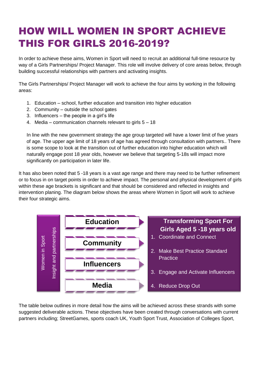# HOW WILL WOMEN IN SPORT ACHIEVE THIS FOR GIRLS 2016-2019?

In order to achieve these aims, Women in Sport will need to recruit an additional full-time resource by way of a Girls Partnerships/ Project Manager. This role will involve delivery of core areas below, through building successful relationships with partners and activating insights.

The Girls Partnerships/ Project Manager will work to achieve the four aims by working in the following areas:

- 1. Education school, further education and transition into higher education
- 2. Community outside the school gates
- 3. Influencers the people in a girl's life
- 4. Media communication channels relevant to girls 5 18

In line with the new government strategy the age group targeted will have a lower limit of five years of age. The upper age limit of 18 years of age has agreed through consultation with partners.. There is some scope to look at the transition out of further education into higher education which will naturally engage post 18 year olds, however we believe that targeting 5-18s will impact more significantly on participation in later life.

It has also been noted that 5 -18 years is a vast age range and there may need to be further refinement or to focus in on target points in order to achieve impact. The personal and physical development of girls within these age brackets is significant and that should be considered and reflected in insights and intervention planing. The diagram below shows the areas where Women in Sport will work to achieve their four strategic aims.



The table below outlines in more detail how the aims will be achieved across these strands with some suggested deliverable actions. These objectives have been created through conversations with current partners including; StreetGames, sports coach UK, Youth Sport Trust, Association of Colleges Sport,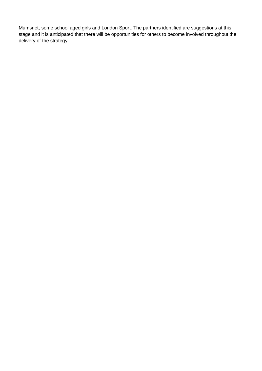Mumsnet, some school aged girls and London Sport. The partners identified are suggestions at this stage and it is anticipated that there will be opportunities for others to become involved throughout the delivery of the strategy.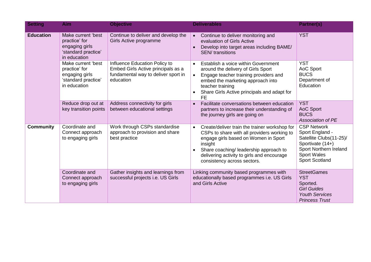| <b>Setting</b>   | <b>Aim</b>                                                                                   | <b>Objective</b>                                                                                                        | <b>Deliverables</b>                                                                                                                                                                                                                                                                 | Partner(s)                                                                                                                                                    |
|------------------|----------------------------------------------------------------------------------------------|-------------------------------------------------------------------------------------------------------------------------|-------------------------------------------------------------------------------------------------------------------------------------------------------------------------------------------------------------------------------------------------------------------------------------|---------------------------------------------------------------------------------------------------------------------------------------------------------------|
| <b>Education</b> | Make current 'best<br>practice' for<br>engaging girls<br>'standard practice'<br>in education | Continue to deliver and develop the<br>Girls Active programme                                                           | Continue to deliver monitoring and<br>$\bullet$<br>evaluation of Girls Active<br>Develop into target areas including BAME/<br>$\bullet$<br><b>SEN/</b> transitions                                                                                                                  | <b>YST</b>                                                                                                                                                    |
|                  | Make current 'best<br>practice' for<br>engaging girls<br>'standard practice'<br>in education | Influence Education Policy to<br>Embed Girls Active principals as a<br>fundamental way to deliver sport in<br>education | Establish a voice within Government<br>$\bullet$<br>around the delivery of Girls Sport<br>Engage teacher training providers and<br>$\bullet$<br>embed the marketing approach into<br>teacher training<br>Share Girls Active principals and adapt for<br>$\bullet$<br><b>FE</b>      | <b>YST</b><br>AoC Sport<br><b>BUCS</b><br>Department of<br>Education                                                                                          |
|                  | Reduce drop out at<br>key transition points                                                  | Address connectivity for girls<br>between educational settings                                                          | Facilitate conversations between education<br>$\bullet$<br>partners to increase their understanding of<br>the journey girls are going on                                                                                                                                            | <b>YST</b><br>AoC Sport<br><b>BUCS</b><br>Association of PE                                                                                                   |
| <b>Community</b> | Coordinate and<br>Connect approach<br>to engaging girls                                      | Work through CSPs standardise<br>approach to provision and share<br>best practice                                       | Create/deliver train the trainer workshop for<br>$\bullet$<br>CSPs to share with all providers working to<br>engage girls based on Women in Sport<br>insight<br>Share coaching/ leadership approach to<br>delivering activity to girls and encourage<br>consistency across sectors. | <b>CSP Network</b><br>Sport England -<br>Satellite Clubs(11-25)/<br>Sportivate (14+)<br>Sport Northern Ireland<br><b>Sport Wales</b><br><b>Sport Scotland</b> |
|                  | Coordinate and<br>Connect approach<br>to engaging girls                                      | Gather insights and learnings from<br>successful projects i.e. US Girls                                                 | Linking community based programmes with<br>educationally based programmes i.e. US Girls<br>and Girls Active                                                                                                                                                                         | <b>StreetGames</b><br><b>YST</b><br>Sported.<br><b>Girl Guides</b><br><b>Youth Services</b><br><b>Princess Trust</b>                                          |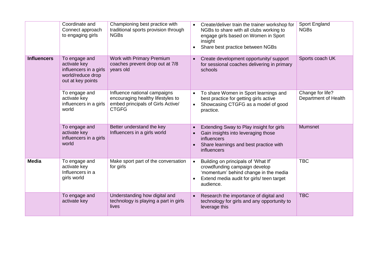|                    | Coordinate and<br>Connect approach<br>to engaging girls                                           | Championing best practice with<br>traditional sports provision through<br><b>NGBs</b>                                  | Create/deliver train the trainer workshop for<br>$\bullet$<br>NGBs to share with all clubs working to<br>engage girls based on Women in Sport<br>insight<br>Share best practice between NGBs<br>$\bullet$ | Sport England<br><b>NGBs</b>             |
|--------------------|---------------------------------------------------------------------------------------------------|------------------------------------------------------------------------------------------------------------------------|-----------------------------------------------------------------------------------------------------------------------------------------------------------------------------------------------------------|------------------------------------------|
| <b>Influencers</b> | To engage and<br>activate key<br>influencers in a girls<br>world/reduce drop<br>out at key points | Work with Primary Premium<br>coaches prevent drop out at 7/8<br>years old                                              | Create development opportunity/ support<br>$\bullet$<br>for sessional coaches delivering in primary<br>schools                                                                                            | Sports coach UK                          |
|                    | To engage and<br>activate key<br>influencers in a girls<br>world                                  | Influence national campaigns<br>encouraging healthy lifestyles to<br>embed principals of Girls Active/<br><b>CTGFG</b> | To share Women in Sport learnings and<br>$\bullet$<br>best practice for getting girls active<br>Showcasing CTGFG as a model of good<br>$\bullet$<br>practice.                                             | Change for life?<br>Department of Health |
|                    | To engage and<br>activate key<br>influencers in a girls<br>world                                  | Better understand the key<br>Influencers in a girls world                                                              | Extending Sway to Play insight for girls<br>$\bullet$<br>Gain insights into leveraging those<br>$\bullet$<br><i>influencers</i><br>Share learnings and best practice with<br>influencers                  | <b>Mumsnet</b>                           |
| <b>Media</b>       | To engage and<br>activate key<br>Influencers in a<br>girls world                                  | Make sport part of the conversation<br>for girls                                                                       | Building on principals of 'What If'<br>$\bullet$<br>crowdfunding campaign develop<br>'momentum' behind change in the media<br>Extend media audit for girls/ teen target<br>$\bullet$<br>audience.         | <b>TBC</b>                               |
|                    | To engage and<br>activate key                                                                     | Understanding how digital and<br>technology is playing a part in girls<br>lives                                        | Research the importance of digital and<br>$\bullet$<br>technology for girls and any opportunity to<br>leverage this                                                                                       | <b>TBC</b>                               |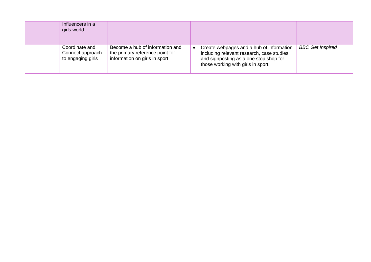| Influencers in a<br>girls world                         |                                                                                                     |                                                                                                                                                                       |                         |
|---------------------------------------------------------|-----------------------------------------------------------------------------------------------------|-----------------------------------------------------------------------------------------------------------------------------------------------------------------------|-------------------------|
| Coordinate and<br>Connect approach<br>to engaging girls | Become a hub of information and<br>the primary reference point for<br>information on girls in sport | Create webpages and a hub of information<br>including relevant research, case studies<br>and signposting as a one stop shop for<br>those working with girls in sport. | <b>BBC</b> Get Inspired |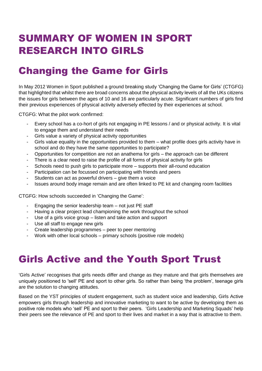## SUMMARY OF WOMEN IN SPORT RESEARCH INTO GIRLS

## Changing the Game for Girls

In May 2012 Women in Sport published a ground breaking study 'Changing the Game for Girls' (CTGFG) that highlighted that whilst there are broad concerns about the physical activity levels of all the UKs citizens the issues for girls between the ages of 10 and 16 are particularly acute. Significant numbers of girls find their previous experiences of physical activity adversely effected by their experiences at school.

CTGFG: What the pilot work confirmed:

- Every school has a co-hort of girls not engaging in PE lessons / and or physical activity. It is vital to engage them and understand their needs
- Girls value a variety of physical activity opportunities
- Girls value equality in the opportunities provided to them what profile does girls activity have in school and do they have the same opportunities to participate?
- Opportunities for competition are not an anathema for girls the approach can be different
- There is a clear need to raise the profile of all forms of physical activity for girls
- Schools need to push girls to participate more supports their all-round education
- Participation can be focussed on participating with friends and peers
- Students can act as powerful drivers  $-$  give them a voice
- Issues around body image remain and are often linked to PE kit and changing room facilities

CTGFG: How schools succeeded in 'Changing the Game':

- Engaging the senior leadership team not just PE staff
- Having a clear project lead championing the work throughout the school
- Use of a girls voice group listen and take action and support
- Use all staff to engage new girls
- Create leadership programmes peer to peer mentoring
- Work with other local schools primary schools (positive role models)

### Girls Active and the Youth Sport Trust

'Girls Active' recognises that girls needs differ and change as they mature and that girls themselves are uniquely positioned to 'sell' PE and sport to other girls. So rather than being 'the problem', teenage girls are the solution to changing attitudes.

Based on the YST principles of student engagement, such as student voice and leadership, Girls Active empowers girls through leadership and innovative marketing to want to be active by developing them as positive role models who 'sell' PE and sport to their peers. 'Girls Leadership and Marketing Squads' help their peers see the relevance of PE and sport to their lives and market in a way that is attractive to them.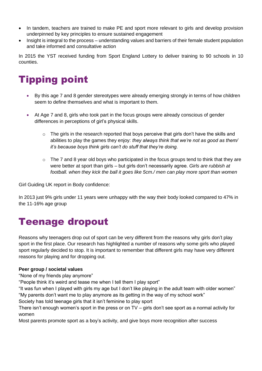- In tandem, teachers are trained to make PE and sport more relevant to girls and develop provision underpinned by key principles to ensure sustained engagement
- Insight is integral to the process understanding values and barriers of their female student population and take informed and consultative action

In 2015 the YST received funding from Sport England Lottery to deliver training to 90 schools in 10 counties.

### Tipping point

- By this age 7 and 8 gender stereotypes were already emerging strongly in terms of how children seem to define themselves and what is important to them.
- At Age 7 and 8, girls who took part in the focus groups were already conscious of gender differences in perceptions of girl's physical skills.
	- $\circ$  The girls in the research reported that boys perceive that girls don't have the skills and abilities to play the games they enjoy: *they always think that we're not as good as them/ it's because boys think girls can't do stuff that they're doing.*
	- $\circ$  The 7 and 8 year old boys who participated in the focus groups tend to think that they are were better at sport than girls – but girls don't necessarily agree. *Girls are rubbish at football. when they kick the ball it goes like 5cm./ men can play more sport than women*

Girl Guiding UK report in Body confidence:

In 2013 just 9% girls under 11 years were unhappy with the way their body looked compared to 47% in the 11-16% age group

### Teenage dropout

Reasons why teenagers drop out of sport can be very different from the reasons why girls don't play sport in the first place. Our research has highlighted a number of reasons why some girls who played sport regularly decided to stop. It is important to remember that different girls may have very different reasons for playing and for dropping out.

#### **Peer group / societal values**

"None of my friends play anymore"

"People think it's weird and tease me when I tell them I play sport"

"It was fun when I played with girls my age but I don't like playing in the adult team with older women" "My parents don't want me to play anymore as its getting in the way of my school work"

Society has told teenage girls that it isn't feminine to play sport

There isn't enough women's sport in the press or on TV – girls don't see sport as a normal activity for women

Most parents promote sport as a boy's activity, and give boys more recognition after success